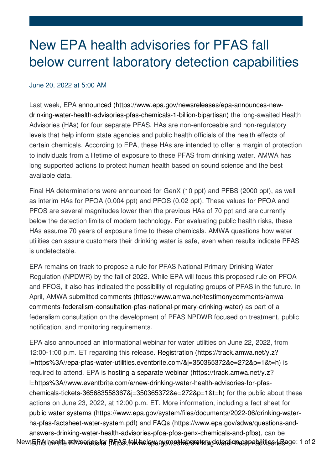## New EPA health advisories for PFAS fall below current laboratory detection capabilities

## June 20, 2022 at 5:00 AM

Last week, EPA announced (https://www.epa.gov/newsreleases/epa-announces-new[drinking-water-health-advisories-pfas-chemicals-1-billion-bipartisan\)](https://www.epa.gov/newsreleases/epa-announces-new-drinking-water-health-advisories-pfas-chemicals-1-billion-bipartisan) the long-awaited Health Advisories (HAs) for four separate PFAS. HAs are non-enforceable and non-regulatory levels that help inform state agencies and public health officials of the health effects of certain chemicals. According to EPA, these HAs are intended to offer a margin of protection to individuals from a lifetime of exposure to these PFAS from drinking water. AMWA has long supported actions to protect human health based on sound science and the best available data.

Final HA determinations were announced for GenX (10 ppt) and PFBS (2000 ppt), as well as interim HAs for PFOA (0.004 ppt) and PFOS (0.02 ppt). These values for PFOA and PFOS are several magnitudes lower than the previous HAs of 70 ppt and are currently below the detection limits of modern technology. For evaluating public health risks, these HAs assume 70 years of exposure time to these chemicals. AMWA questions how water utilities can assure customers their drinking water is safe, even when results indicate PFAS is undetectable.

EPA remains on track to propose a rule for PFAS National Primary Drinking Water Regulation (NPDWR) by the fall of 2022. While EPA will focus this proposed rule on PFOA and PFOS, it also has indicated the possibility of regulating groups of PFAS in the future. In April, AMWA submitted comments (https://www.amwa.net/testimonycomments/amwa[comments-federalism-consultation-pfas-national-primary-drinking-water\)](file:///testimonycomments/amwa-comments-federalism-consultation-pfas-national-primary-drinking-water) as part of a federalism consultation on the development of PFAS NPDWR focused on treatment, public notification, and monitoring requirements.

EPA also announced an informational webinar for water utilities on June 22, 2022, from 12:00-1:00 p.m. ET regarding this release. Registration (https://track.amwa.net/y.z? [l=https%3A//epa-pfas-water-utilities.eventbrite.com/&j=350365372&e=272&p=1&t=h\)](https://track.amwa.net/y.z?l=https%253a%252f%252fepa-pfas-water-utilities.eventbrite.com%252f&j=350365372&e=272&p=1&t=h&) is required to attend. EPA is hosting a separate webinar (https://track.amwa.net/y.z? [l=https%3A//www.eventbrite.com/e/new-drinking-water-health-advisories-for-pfas](https://track.amwa.net/y.z?l=https%253a%252f%252fwww.eventbrite.com%252fe%252fnew-drinking-water-health-advisories-for-pfas-chemicals-tickets-365683558367&j=350365372&e=272&p=1&t=h&)chemicals-tickets-365683558367&j=350365372&e=272&p=1&t=h) for the public about these actions on June 23, 2022, at 12:00 p.m. ET. More information, including a fact sheet for public water systems [\(https://www.epa.gov/system/files/documents/2022-06/drinking-water](https://www.epa.gov/system/files/documents/2022-06/drinking-water-ha-pfas-factsheet-water-system.pdf)ha-pfas-factsheet-water-system.pdf) and FAQs (https://www.epa.gov/sdwa/questions-and[answers-drinking-water-health-advisories-pfoa-pfos-genx-chemicals-and-pfbs\),](https://www.epa.gov/sdwa/questions-and-answers-drinking-water-health-advisories-pfoa-pfos-genx-chemicals-and-pfbs) can be NewfoGPA beallthe achvisoviens frer (PhFtAS://awwhoe.lopya.cyurcestivab/olratin/ingdateration campabilities leSage: 1 of 2